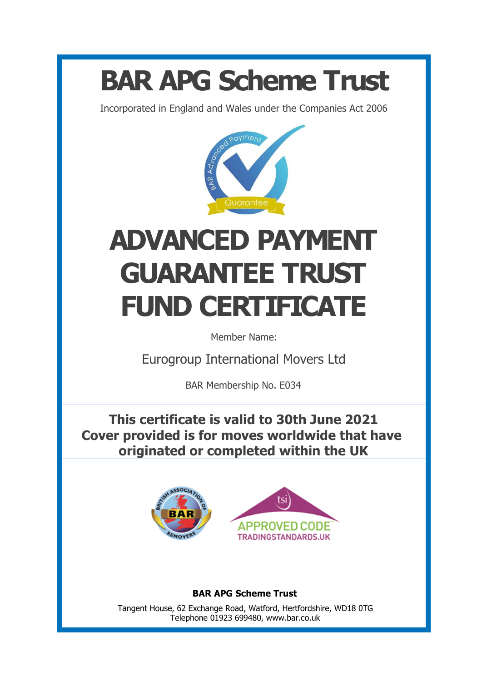## **BAR APG Scheme Trust**

Incorporated in England and Wales under the Companies Act 2006



## **ADVANCED PAYMENT GUARANTEE TRUST FUND CERTIFICATE**

Member Name:

Eurogroup International Movers Ltd

BAR Membership No. E034

**This certificate is valid to 30th June 2021 Cover provided is for moves worldwide that have originated or completed within the UK**





**BAR APG Scheme Trust**

Tangent House, 62 Exchange Road, Watford, Hertfordshire, WD18 0TG Telephone 01923 699480, www.bar.co.uk